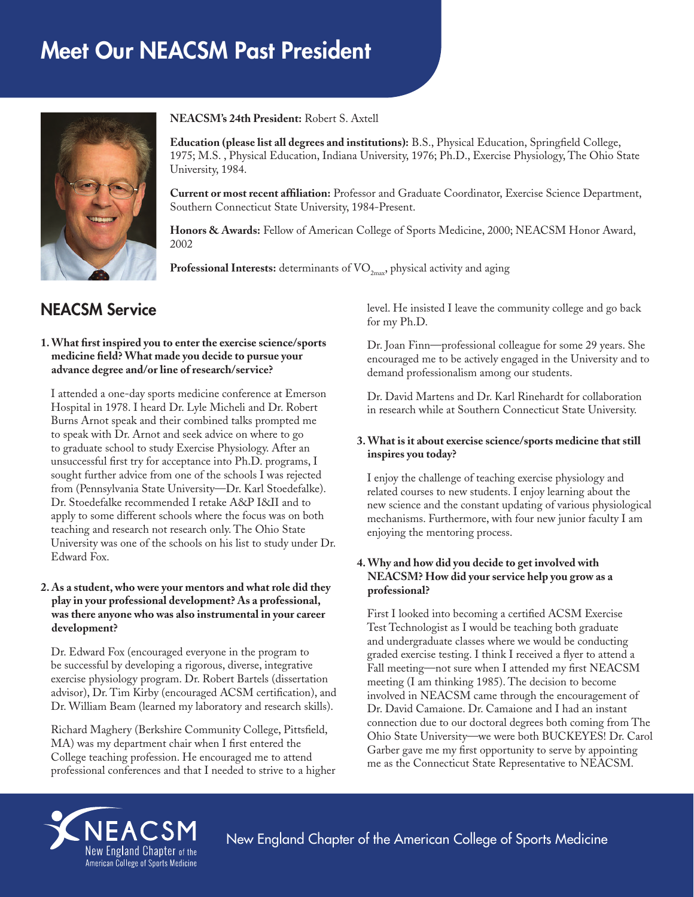# Meet Our NEACSM Past President



**NEACSM's 24th President:** Robert S. Axtell

**Education (please list all degrees and institutions):** B.S., Physical Education, Springfield College, 1975; M.S. , Physical Education, Indiana University, 1976; Ph.D., Exercise Physiology, The Ohio State University, 1984.

**Current or most recent affiliation:** Professor and Graduate Coordinator, Exercise Science Department, Southern Connecticut State University, 1984-Present.

**Honors & Awards:** Fellow of American College of Sports Medicine, 2000; NEACSM Honor Award, 2002

**Professional Interests:** determinants of VO<sub>2max</sub>, physical activity and aging

# NEACSM Service

#### **1. What first inspired you to enter the exercise science/sports medicine field? What made you decide to pursue your advance degree and/or line of research/service?**

I attended a one-day sports medicine conference at Emerson Hospital in 1978. I heard Dr. Lyle Micheli and Dr. Robert Burns Arnot speak and their combined talks prompted me to speak with Dr. Arnot and seek advice on where to go to graduate school to study Exercise Physiology. After an unsuccessful first try for acceptance into Ph.D. programs, I sought further advice from one of the schools I was rejected from (Pennsylvania State University—Dr. Karl Stoedefalke). Dr. Stoedefalke recommended I retake A&P I&II and to apply to some different schools where the focus was on both teaching and research not research only. The Ohio State University was one of the schools on his list to study under Dr. Edward Fox.

#### **2. As a student, who were your mentors and what role did they play in your professional development? As a professional, was there anyone who was also instrumental in your career development?**

Dr. Edward Fox (encouraged everyone in the program to be successful by developing a rigorous, diverse, integrative exercise physiology program. Dr. Robert Bartels (dissertation advisor), Dr. Tim Kirby (encouraged ACSM certification), and Dr. William Beam (learned my laboratory and research skills).

Richard Maghery (Berkshire Community College, Pittsfield, MA) was my department chair when I first entered the College teaching profession. He encouraged me to attend professional conferences and that I needed to strive to a higher level. He insisted I leave the community college and go back for my Ph.D.

Dr. Joan Finn—professional colleague for some 29 years. She encouraged me to be actively engaged in the University and to demand professionalism among our students.

Dr. David Martens and Dr. Karl Rinehardt for collaboration in research while at Southern Connecticut State University.

# **3. What is it about exercise science/sports medicine that still inspires you today?**

I enjoy the challenge of teaching exercise physiology and related courses to new students. I enjoy learning about the new science and the constant updating of various physiological mechanisms. Furthermore, with four new junior faculty I am enjoying the mentoring process.

# **4. Why and how did you decide to get involved with NEACSM? How did your service help you grow as a professional?**

First I looked into becoming a certified ACSM Exercise Test Technologist as I would be teaching both graduate and undergraduate classes where we would be conducting graded exercise testing. I think I received a flyer to attend a Fall meeting—not sure when I attended my first NEACSM meeting (I am thinking 1985). The decision to become involved in NEACSM came through the encouragement of Dr. David Camaione. Dr. Camaione and I had an instant connection due to our doctoral degrees both coming from The Ohio State University—we were both BUCKEYES! Dr. Carol Garber gave me my first opportunity to serve by appointing me as the Connecticut State Representative to NEACSM.



New England Chapter of the American College of Sports Medicine